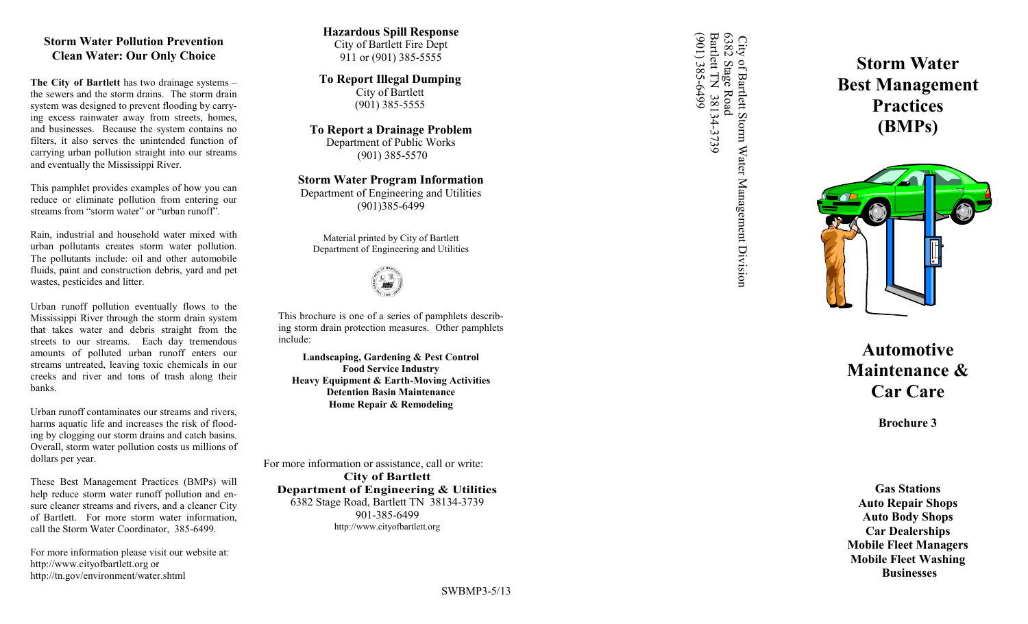## **Storm Water Pollution Prevention Clean Water: Our Only Choice**

**The City of Bartlett** has two drainage systems – the sewers and the storm drains. The storm drain system was designed to prevent flooding by carrying excess rainwater away from streets, homes, and businesses. Because the system contains no filters, it also serves the unintended function of carrying urban pollution straight into our streams and eventually the Mississippi River.

This pamphlet provides examples of how you can reduce or eliminate pollution from entering our streams from "storm water" or "urban runoff".

Rain, industrial and household water mixed with urban pollutants creates storm water pollution. The pollutants include: oil and other automobile fluids, paint and construction debris, yard and pet wastes, pesticides and litter.

Urban runoff pollution eventually flows to the Mississippi River through the storm drain system that takes water and debris straight from the streets to our streams. Each day tremendous amounts of polluted urban runoff enters our streams untreated, leaving toxic chemicals in our creeks and river and tons of trash along their banks.

Urban runoff contaminates our streams and rivers, harms aquatic life and increases the risk of flooding by clogging our storm drains and catch basins. Overall, storm water pollution costs us millions of dollars per year.

These Best Management Practices (BMPs) will help reduce storm water runoff pollution and ensure cleaner streams and rivers, and a cleaner City of Bartlett. For more storm water information, call the Storm Water Coordinator, 385 -6499.

For more information please visit our website at: http://www.cityofbartlett.org or http://tn.gov/environment/water.shtml

#### **Hazardous Spill Response** City of Bartlett Fire Dept 911 or (901) 385 -5555

**To Report Illegal Dumping** City of Bartlett (901) 385 -5555

**To Report a Drainage Problem** Department of Public Works (901) 385 -5570

**Storm Water Program Information** Department of Engineering and Utilities (901)385 -6499





This brochure is one of a series of pamphlets describing storm drain protection measures. Other pamphlets include:

**Landscaping, Gardening & Pest Control Food Service Industry Heavy Equipment & Earth -Moving Activities Detention Basin Maintenance Home Repair & Remodeling**

For more information or assistance, call or write: **City of Bartlett Department of Engineering & Utilities** 6382 Stage Road, Bartlett TN 38134 -3739 901 -385 -6499 http://www.cityofbartlett.org

City of Barlett Storm Water Management Division<br>6382 Stage Road<br>Bartlett TN 38134-3739<br>(901) 385-6499 (901) 385-6499 Bartlett TN 38134 6382 Stage Road City of Barlett Storm Water Management Division<br>5382 Stage Road<br>3arlett TN 38134-3739

**Storm Water Best Management Practices (BMPs)**



**Automotive Maintenance & Car Care**

**Brochure 3**

**Gas Stations Auto Repair Shops Auto Body Shops Car Dealerships Mobile Fleet Managers Mobile Fleet Washing Businesses**